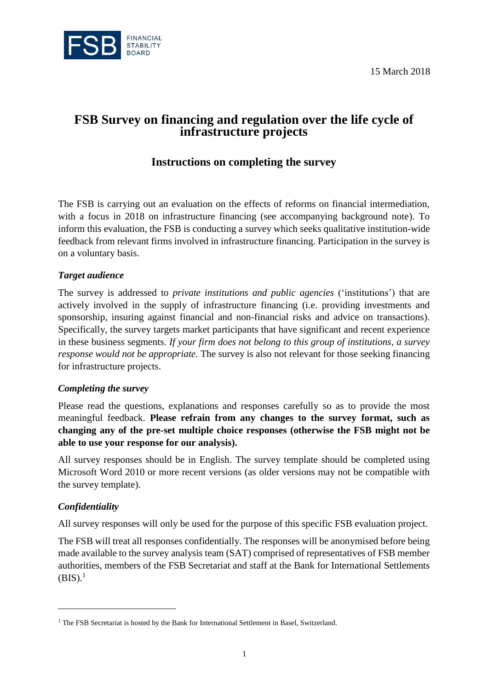15 March 2018



# **FSB Survey on financing and regulation over the life cycle of infrastructure projects**

## **Instructions on completing the survey**

The FSB is carrying out an evaluation on the effects of reforms on financial intermediation, with a focus in 2018 on infrastructure financing (see accompanying background note). To inform this evaluation, the FSB is conducting a survey which seeks qualitative institution-wide feedback from relevant firms involved in infrastructure financing. Participation in the survey is on a voluntary basis.

#### *Target audience*

The survey is addressed to *private institutions and public agencies* ('institutions') that are actively involved in the supply of infrastructure financing (i.e. providing investments and sponsorship, insuring against financial and non-financial risks and advice on transactions). Specifically, the survey targets market participants that have significant and recent experience in these business segments. *If your firm does not belong to this group of institutions, a survey response would not be appropriate.* The survey is also not relevant for those seeking financing for infrastructure projects.

#### *Completing the survey*

Please read the questions, explanations and responses carefully so as to provide the most meaningful feedback. **Please refrain from any changes to the survey format, such as changing any of the pre-set multiple choice responses (otherwise the FSB might not be able to use your response for our analysis).**

All survey responses should be in English. The survey template should be completed using Microsoft Word 2010 or more recent versions (as older versions may not be compatible with the survey template).

#### *Confidentiality*

 $\overline{a}$ 

All survey responses will only be used for the purpose of this specific FSB evaluation project.

The FSB will treat all responses confidentially. The responses will be anonymised before being made available to the survey analysis team (SAT) comprised of representatives of FSB member authorities, members of the FSB Secretariat and staff at the Bank for International Settlements  $(BIS).<sup>1</sup>$ 

<sup>&</sup>lt;sup>1</sup> The FSB Secretariat is hosted by the Bank for International Settlement in Basel, Switzerland.